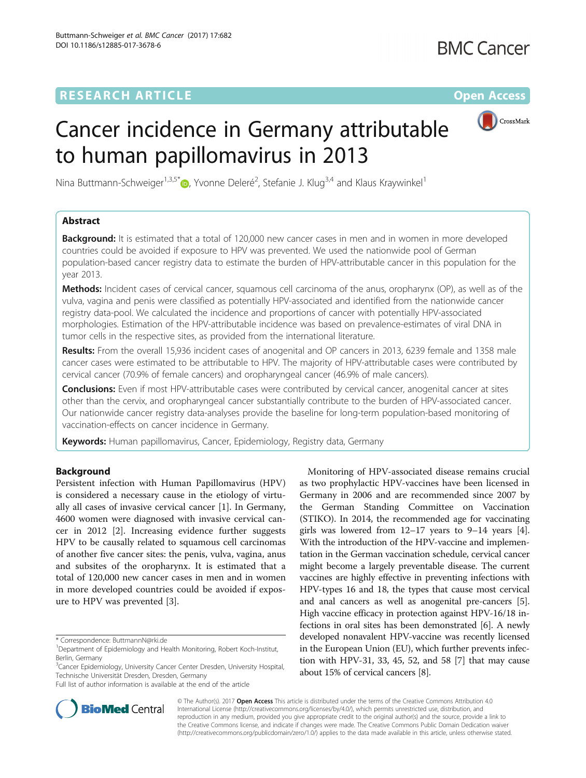## **RESEARCH ARTICLE Example 2014 12:30 The Contract of Contract ACCESS**



# Cancer incidence in Germany attributable to human papillomavirus in 2013

Nina Buttmann-Schweiger<sup>1,3,5[\\*](http://orcid.org/0000-0001-6946-635X)</sup>®, Yvonne Deleré<sup>2</sup>, Stefanie J. Klug<sup>3,4</sup> and Klaus Kraywinkel<sup>1</sup>

## Abstract

**Background:** It is estimated that a total of 120,000 new cancer cases in men and in women in more developed countries could be avoided if exposure to HPV was prevented. We used the nationwide pool of German population-based cancer registry data to estimate the burden of HPV-attributable cancer in this population for the year 2013.

Methods: Incident cases of cervical cancer, squamous cell carcinoma of the anus, oropharynx (OP), as well as of the vulva, vagina and penis were classified as potentially HPV-associated and identified from the nationwide cancer registry data-pool. We calculated the incidence and proportions of cancer with potentially HPV-associated morphologies. Estimation of the HPV-attributable incidence was based on prevalence-estimates of viral DNA in tumor cells in the respective sites, as provided from the international literature.

Results: From the overall 15,936 incident cases of anogenital and OP cancers in 2013, 6239 female and 1358 male cancer cases were estimated to be attributable to HPV. The majority of HPV-attributable cases were contributed by cervical cancer (70.9% of female cancers) and oropharyngeal cancer (46.9% of male cancers).

**Conclusions:** Even if most HPV-attributable cases were contributed by cervical cancer, anogenital cancer at sites other than the cervix, and oropharyngeal cancer substantially contribute to the burden of HPV-associated cancer. Our nationwide cancer registry data-analyses provide the baseline for long-term population-based monitoring of vaccination-effects on cancer incidence in Germany.

Keywords: Human papillomavirus, Cancer, Epidemiology, Registry data, Germany

## Background

Persistent infection with Human Papillomavirus (HPV) is considered a necessary cause in the etiology of virtually all cases of invasive cervical cancer [\[1](#page-6-0)]. In Germany, 4600 women were diagnosed with invasive cervical cancer in 2012 [\[2](#page-6-0)]. Increasing evidence further suggests HPV to be causally related to squamous cell carcinomas of another five cancer sites: the penis, vulva, vagina, anus and subsites of the oropharynx. It is estimated that a total of 120,000 new cancer cases in men and in women in more developed countries could be avoided if exposure to HPV was prevented [[3\]](#page-6-0).

Full list of author information is available at the end of the article





© The Author(s). 2017 Open Access This article is distributed under the terms of the Creative Commons Attribution 4.0 International License [\(http://creativecommons.org/licenses/by/4.0/](http://creativecommons.org/licenses/by/4.0/)), which permits unrestricted use, distribution, and reproduction in any medium, provided you give appropriate credit to the original author(s) and the source, provide a link to the Creative Commons license, and indicate if changes were made. The Creative Commons Public Domain Dedication waiver [\(http://creativecommons.org/publicdomain/zero/1.0/](http://creativecommons.org/publicdomain/zero/1.0/)) applies to the data made available in this article, unless otherwise stated.

<sup>\*</sup> Correspondence: [ButtmannN@rki.de](mailto:ButtmannN@rki.de) <sup>1</sup>

Department of Epidemiology and Health Monitoring, Robert Koch-Institut, Berlin, Germany

<sup>&</sup>lt;sup>3</sup>Cancer Epidemiology, University Cancer Center Dresden, University Hospital, Technische Universität Dresden, Dresden, Germany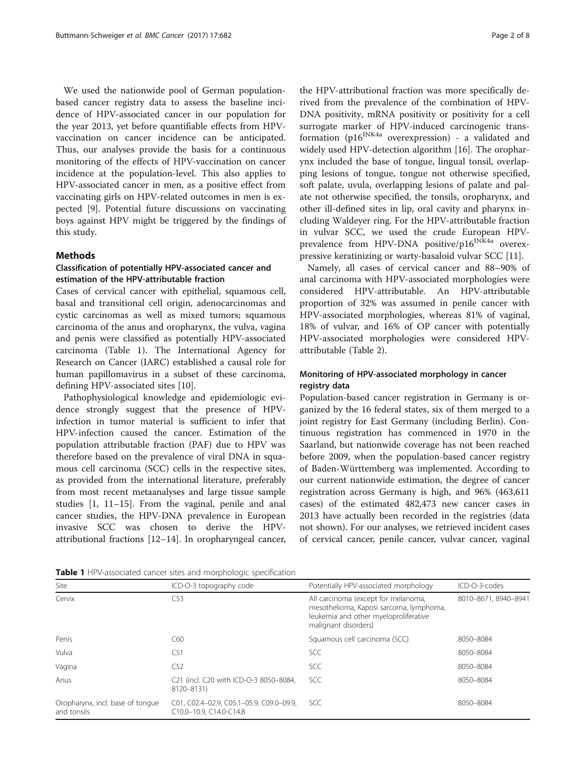<span id="page-1-0"></span>We used the nationwide pool of German populationbased cancer registry data to assess the baseline incidence of HPV-associated cancer in our population for the year 2013, yet before quantifiable effects from HPVvaccination on cancer incidence can be anticipated. Thus, our analyses provide the basis for a continuous monitoring of the effects of HPV-vaccination on cancer incidence at the population-level. This also applies to HPV-associated cancer in men, as a positive effect from vaccinating girls on HPV-related outcomes in men is expected [[9\]](#page-6-0). Potential future discussions on vaccinating boys against HPV might be triggered by the findings of this study.

#### Methods

## Classification of potentially HPV-associated cancer and estimation of the HPV-attributable fraction

Cases of cervical cancer with epithelial, squamous cell, basal and transitional cell origin, adenocarcinomas and cystic carcinomas as well as mixed tumors; squamous carcinoma of the anus and oropharynx, the vulva, vagina and penis were classified as potentially HPV-associated carcinoma (Table 1). The International Agency for Research on Cancer (IARC) established a causal role for human papillomavirus in a subset of these carcinoma, defining HPV-associated sites [[10\]](#page-6-0).

Pathophysiological knowledge and epidemiologic evidence strongly suggest that the presence of HPVinfection in tumor material is sufficient to infer that HPV-infection caused the cancer. Estimation of the population attributable fraction (PAF) due to HPV was therefore based on the prevalence of viral DNA in squamous cell carcinoma (SCC) cells in the respective sites, as provided from the international literature, preferably from most recent metaanalyses and large tissue sample studies [\[1](#page-6-0), [11](#page-6-0)–[15](#page-6-0)]. From the vaginal, penile and anal cancer studies, the HPV-DNA prevalence in European invasive SCC was chosen to derive the HPVattributional fractions [\[12](#page-6-0)–[14\]](#page-6-0). In oropharyngeal cancer,

the HPV-attributional fraction was more specifically derived from the prevalence of the combination of HPV-DNA positivity, mRNA positivity or positivity for a cell surrogate marker of HPV-induced carcinogenic transformation (p16<sup>INK4a</sup> overexpression) - a validated and widely used HPV-detection algorithm [\[16](#page-7-0)]. The oropharynx included the base of tongue, lingual tonsil, overlapping lesions of tongue, tongue not otherwise specified, soft palate, uvula, overlapping lesions of palate and palate not otherwise specified, the tonsils, oropharynx, and other ill-defined sites in lip, oral cavity and pharynx including Waldeyer ring. For the HPV-attributable fraction in vulvar SCC, we used the crude European HPVprevalence from HPV-DNA positive/p16<sup>INK4a</sup> overexpressive keratinizing or warty-basaloid vulvar SCC [\[11](#page-6-0)].

Namely, all cases of cervical cancer and 88–90% of anal carcinoma with HPV-associated morphologies were considered HPV-attributable. An HPV-attributable proportion of 32% was assumed in penile cancer with HPV-associated morphologies, whereas 81% of vaginal, 18% of vulvar, and 16% of OP cancer with potentially HPV-associated morphologies were considered HPVattributable (Table [2\)](#page-2-0).

## Monitoring of HPV-associated morphology in cancer registry data

Population-based cancer registration in Germany is organized by the 16 federal states, six of them merged to a joint registry for East Germany (including Berlin). Continuous registration has commenced in 1970 in the Saarland, but nationwide coverage has not been reached before 2009, when the population-based cancer registry of Baden-Württemberg was implemented. According to our current nationwide estimation, the degree of cancer registration across Germany is high, and 96% (463,611 cases) of the estimated 482,473 new cancer cases in 2013 have actually been recorded in the registries (data not shown). For our analyses, we retrieved incident cases of cervical cancer, penile cancer, vulvar cancer, vaginal

| Site                                            | ICD-O-3 topography code                                             | Potentially HPV-associated morphology                                                                                                           | ICD-O-3-codes<br>8010-8671, 8940-8941 |  |
|-------------------------------------------------|---------------------------------------------------------------------|-------------------------------------------------------------------------------------------------------------------------------------------------|---------------------------------------|--|
| Cervix                                          | C53                                                                 | All carcinoma (except for melanoma,<br>mesothelioma, Kaposi sarcoma, lymphoma,<br>leukemia and other myeloproliferative<br>malignant disorders) |                                       |  |
| Penis                                           | C60                                                                 | Squamous cell carcinoma (SCC)                                                                                                                   | 8050-8084                             |  |
| Vulva                                           | C51                                                                 | <b>SCC</b>                                                                                                                                      | 8050-8084                             |  |
| Vagina                                          | C52                                                                 | <b>SCC</b>                                                                                                                                      | 8050-8084                             |  |
| Anus                                            | C21 (incl. C20 with ICD-O-3 8050-8084,<br>8120-8131)                | <b>SCC</b>                                                                                                                                      | 8050-8084                             |  |
| Oropharynx, incl. base of tonque<br>and tonsils | C01, C02.4-02.9, C05.1-05.9, C09.0-09.9,<br>C10.0-10.9, C14.0-C14.8 | <b>SCC</b>                                                                                                                                      | 8050-8084                             |  |

Table 1 HPV-associated cancer sites and morphologic specification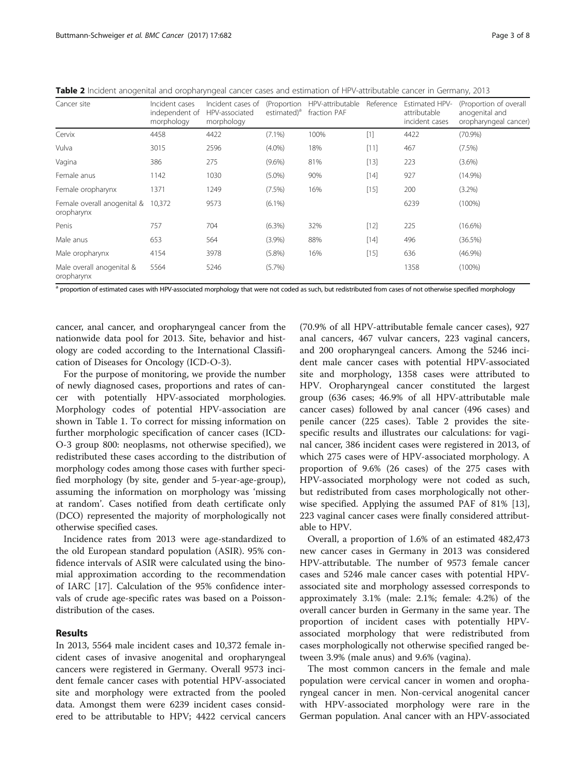| Cancer site                               | Incident cases<br>independent of<br>morphology | Incident cases of<br>HPV-associated<br>morphology | (Proportion<br>estimated) <sup>a</sup> | HPV-attributable<br>fraction PAF | Reference | <b>Estimated HPV-</b><br>attributable<br>incident cases | (Proportion of overall<br>anogenital and<br>oropharyngeal cancer) |  |
|-------------------------------------------|------------------------------------------------|---------------------------------------------------|----------------------------------------|----------------------------------|-----------|---------------------------------------------------------|-------------------------------------------------------------------|--|
| Cervix                                    | 4458                                           | 4422                                              | $(7.1\%)$                              | 100%                             | $[1]$     | 4422                                                    | (70.9%)                                                           |  |
| Vulva                                     | 3015                                           | 2596                                              | $(4.0\%)$                              | 18%                              | [11]      | 467                                                     | (7.5%)                                                            |  |
| Vagina                                    | 386                                            | 275                                               | $(9.6\%)$                              | 81%                              | $[13]$    | 223                                                     | $(3.6\%)$                                                         |  |
| Female anus                               | 1142                                           | 1030                                              | $(5.0\%)$                              | 90%                              | $[14]$    | 927                                                     | $(14.9\%)$                                                        |  |
| Female oropharynx                         | 1371                                           | 1249                                              | $(7.5\%)$                              | 16%                              | $[15]$    | 200                                                     | $(3.2\%)$                                                         |  |
| Female overall anogenital &<br>oropharynx | 10,372                                         | 9573                                              | $(6.1\%)$                              |                                  |           | 6239                                                    | $(100\%)$                                                         |  |
| Penis                                     | 757                                            | 704                                               | $(6.3\%)$                              | 32%                              | $[12]$    | 225                                                     | $(16.6\%)$                                                        |  |
| Male anus                                 | 653                                            | 564                                               | $(3.9\%)$                              | 88%                              | $[14]$    | 496                                                     | (36.5%)                                                           |  |
| Male oropharynx                           | 4154                                           | 3978                                              | $(5.8\%)$                              | 16%                              | $[15]$    | 636                                                     | $(46.9\%)$                                                        |  |
| Male overall anogenital &<br>oropharynx   | 5564                                           | 5246                                              | $(5.7\%)$                              |                                  |           | 1358                                                    | $(100\%)$                                                         |  |

<span id="page-2-0"></span>Table 2 Incident anogenital and oropharyngeal cancer cases and estimation of HPV-attributable cancer in Germany, 2013

a proportion of estimated cases with HPV-associated morphology that were not coded as such, but redistributed from cases of not otherwise specified morphology

cancer, anal cancer, and oropharyngeal cancer from the nationwide data pool for 2013. Site, behavior and histology are coded according to the International Classification of Diseases for Oncology (ICD-O-3).

For the purpose of monitoring, we provide the number of newly diagnosed cases, proportions and rates of cancer with potentially HPV-associated morphologies. Morphology codes of potential HPV-association are shown in Table [1.](#page-1-0) To correct for missing information on further morphologic specification of cancer cases (ICD-O-3 group 800: neoplasms, not otherwise specified), we redistributed these cases according to the distribution of morphology codes among those cases with further specified morphology (by site, gender and 5-year-age-group), assuming the information on morphology was 'missing at random'. Cases notified from death certificate only (DCO) represented the majority of morphologically not otherwise specified cases.

Incidence rates from 2013 were age-standardized to the old European standard population (ASIR). 95% confidence intervals of ASIR were calculated using the binomial approximation according to the recommendation of IARC [\[17\]](#page-7-0). Calculation of the 95% confidence intervals of crude age-specific rates was based on a Poissondistribution of the cases.

## Results

In 2013, 5564 male incident cases and 10,372 female incident cases of invasive anogenital and oropharyngeal cancers were registered in Germany. Overall 9573 incident female cancer cases with potential HPV-associated site and morphology were extracted from the pooled data. Amongst them were 6239 incident cases considered to be attributable to HPV; 4422 cervical cancers

(70.9% of all HPV-attributable female cancer cases), 927 anal cancers, 467 vulvar cancers, 223 vaginal cancers, and 200 oropharyngeal cancers. Among the 5246 incident male cancer cases with potential HPV-associated site and morphology, 1358 cases were attributed to HPV. Oropharyngeal cancer constituted the largest group (636 cases; 46.9% of all HPV-attributable male cancer cases) followed by anal cancer (496 cases) and penile cancer (225 cases). Table 2 provides the sitespecific results and illustrates our calculations: for vaginal cancer, 386 incident cases were registered in 2013, of which 275 cases were of HPV-associated morphology. A proportion of 9.6% (26 cases) of the 275 cases with HPV-associated morphology were not coded as such, but redistributed from cases morphologically not otherwise specified. Applying the assumed PAF of 81% [\[13](#page-6-0)], 223 vaginal cancer cases were finally considered attributable to HPV.

Overall, a proportion of 1.6% of an estimated 482,473 new cancer cases in Germany in 2013 was considered HPV-attributable. The number of 9573 female cancer cases and 5246 male cancer cases with potential HPVassociated site and morphology assessed corresponds to approximately 3.1% (male: 2.1%; female: 4.2%) of the overall cancer burden in Germany in the same year. The proportion of incident cases with potentially HPVassociated morphology that were redistributed from cases morphologically not otherwise specified ranged between 3.9% (male anus) and 9.6% (vagina).

The most common cancers in the female and male population were cervical cancer in women and oropharyngeal cancer in men. Non-cervical anogenital cancer with HPV-associated morphology were rare in the German population. Anal cancer with an HPV-associated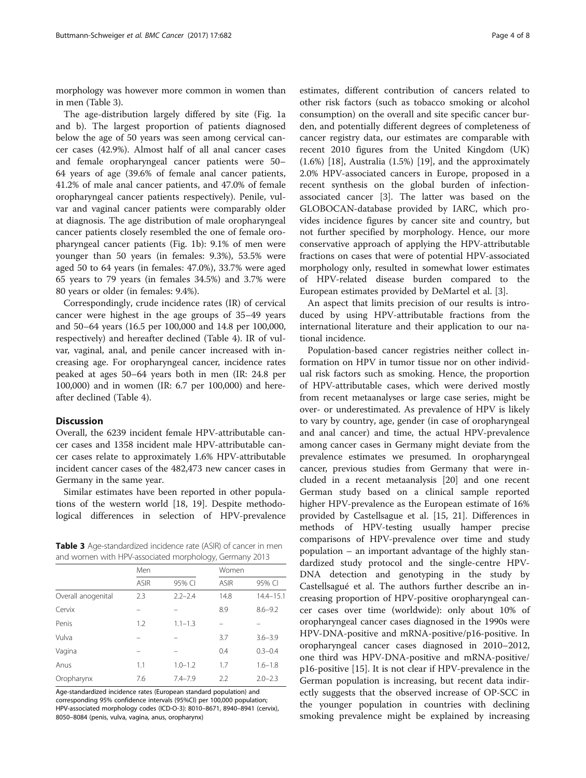morphology was however more common in women than in men (Table 3).

The age-distribution largely differed by site (Fig. [1a](#page-4-0) and [b\)](#page-4-0). The largest proportion of patients diagnosed below the age of 50 years was seen among cervical cancer cases (42.9%). Almost half of all anal cancer cases and female oropharyngeal cancer patients were 50– 64 years of age (39.6% of female anal cancer patients, 41.2% of male anal cancer patients, and 47.0% of female oropharyngeal cancer patients respectively). Penile, vulvar and vaginal cancer patients were comparably older at diagnosis. The age distribution of male oropharyngeal cancer patients closely resembled the one of female oropharyngeal cancer patients (Fig. [1b](#page-4-0)): 9.1% of men were younger than 50 years (in females: 9.3%), 53.5% were aged 50 to 64 years (in females: 47.0%), 33.7% were aged 65 years to 79 years (in females 34.5%) and 3.7% were 80 years or older (in females: 9.4%).

Correspondingly, crude incidence rates (IR) of cervical cancer were highest in the age groups of 35–49 years and 50–64 years (16.5 per 100,000 and 14.8 per 100,000, respectively) and hereafter declined (Table [4](#page-4-0)). IR of vulvar, vaginal, anal, and penile cancer increased with increasing age. For oropharyngeal cancer, incidence rates peaked at ages 50–64 years both in men (IR: 24.8 per 100,000) and in women (IR: 6.7 per 100,000) and hereafter declined (Table [4\)](#page-4-0).

#### Discussion

Overall, the 6239 incident female HPV-attributable cancer cases and 1358 incident male HPV-attributable cancer cases relate to approximately 1.6% HPV-attributable incident cancer cases of the 482,473 new cancer cases in Germany in the same year.

Similar estimates have been reported in other populations of the western world [[18, 19](#page-7-0)]. Despite methodological differences in selection of HPV-prevalence

Table 3 Age-standardized incidence rate (ASIR) of cancer in men and women with HPV-associated morphology, Germany 2013

|                    | Men         |             | Women       |               |
|--------------------|-------------|-------------|-------------|---------------|
|                    | <b>ASIR</b> | 95% CI      | <b>ASIR</b> | 95% CI        |
| Overall anogenital | 2.3         | $2.2 - 2.4$ | 14.8        | $14.4 - 15.1$ |
| Cervix             |             |             | 8.9         | $8.6 - 9.2$   |
| Penis              | 1.2         | $1.1 - 1.3$ |             |               |
| Vulva              |             |             | 3.7         | $3.6 - 3.9$   |
| Vagina             |             |             | 0.4         | $0.3 - 0.4$   |
| Anus               | 1.1         | $1.0 - 1.2$ | 1.7         | $1.6 - 1.8$   |
| Oropharynx         | 7.6         | $7.4 - 7.9$ | 2.2         | $2.0 - 2.3$   |

Age-standardized incidence rates (European standard population) and corresponding 95% confidence intervals (95%CI) per 100,000 population; HPV-associated morphology codes (ICD-O-3): 8010–8671, 8940–8941 (cervix), 8050–8084 (penis, vulva, vagina, anus, oropharynx)

estimates, different contribution of cancers related to other risk factors (such as tobacco smoking or alcohol consumption) on the overall and site specific cancer burden, and potentially different degrees of completeness of cancer registry data, our estimates are comparable with recent 2010 figures from the United Kingdom (UK) (1.6%) [\[18](#page-7-0)], Australia (1.5%) [\[19\]](#page-7-0), and the approximately 2.0% HPV-associated cancers in Europe, proposed in a recent synthesis on the global burden of infectionassociated cancer [\[3](#page-6-0)]. The latter was based on the GLOBOCAN-database provided by IARC, which provides incidence figures by cancer site and country, but not further specified by morphology. Hence, our more conservative approach of applying the HPV-attributable fractions on cases that were of potential HPV-associated morphology only, resulted in somewhat lower estimates of HPV-related disease burden compared to the European estimates provided by DeMartel et al. [\[3](#page-6-0)].

An aspect that limits precision of our results is introduced by using HPV-attributable fractions from the international literature and their application to our national incidence.

Population-based cancer registries neither collect information on HPV in tumor tissue nor on other individual risk factors such as smoking. Hence, the proportion of HPV-attributable cases, which were derived mostly from recent metaanalyses or large case series, might be over- or underestimated. As prevalence of HPV is likely to vary by country, age, gender (in case of oropharyngeal and anal cancer) and time, the actual HPV-prevalence among cancer cases in Germany might deviate from the prevalence estimates we presumed. In oropharyngeal cancer, previous studies from Germany that were included in a recent metaanalysis [[20\]](#page-7-0) and one recent German study based on a clinical sample reported higher HPV-prevalence as the European estimate of 16% provided by Castellsague et al. [[15](#page-6-0), [21](#page-7-0)]. Differences in methods of HPV-testing usually hamper precise comparisons of HPV-prevalence over time and study population – an important advantage of the highly standardized study protocol and the single-centre HPV-DNA detection and genotyping in the study by Castellsagué et al. The authors further describe an increasing proportion of HPV-positive oropharyngeal cancer cases over time (worldwide): only about 10% of oropharyngeal cancer cases diagnosed in the 1990s were HPV-DNA-positive and mRNA-positive/p16-positive. In oropharyngeal cancer cases diagnosed in 2010–2012, one third was HPV-DNA-positive and mRNA-positive/ p16-positive [[15\]](#page-6-0). It is not clear if HPV-prevalence in the German population is increasing, but recent data indirectly suggests that the observed increase of OP-SCC in the younger population in countries with declining smoking prevalence might be explained by increasing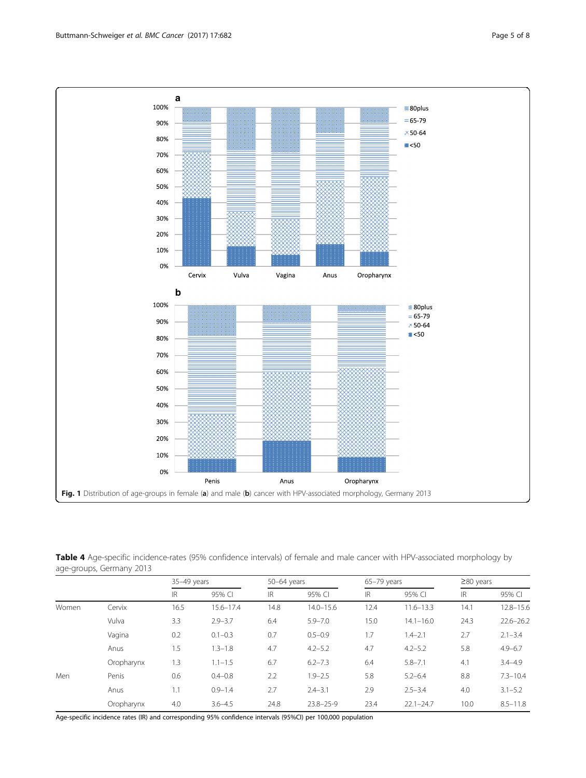<span id="page-4-0"></span>

Table 4 Age-specific incidence-rates (95% confidence intervals) of female and male cancer with HPV-associated morphology by age-groups, Germany 2013

|       |            | 35-49 years |               | $50-64$ years |                 |      | $65-79$ years |      | $\geq$ 80 years |  |
|-------|------------|-------------|---------------|---------------|-----------------|------|---------------|------|-----------------|--|
|       |            | <b>IR</b>   | 95% CI        | IR            | 95% CI          | IR   | 95% CI        | IR   | 95% CI          |  |
| Women | Cervix     | 16.5        | $15.6 - 17.4$ | 14.8          | $14.0 - 15.6$   | 12.4 | $11.6 - 13.3$ | 14.1 | $12.8 - 15.6$   |  |
|       | Vulva      | 3.3         | $2.9 - 3.7$   | 6.4           | $5.9 - 7.0$     | 15.0 | $14.1 - 16.0$ | 24.3 | $22.6 - 26.2$   |  |
|       | Vagina     | 0.2         | $0.1 - 0.3$   | 0.7           | $0.5 - 0.9$     | 1.7  | $1.4 - 2.1$   | 2.7  | $2.1 - 3.4$     |  |
|       | Anus       | 1.5         | $1.3 - 1.8$   | 4.7           | $4.2 - 5.2$     | 4.7  | $4.2 - 5.2$   | 5.8  | $4.9 - 6.7$     |  |
|       | Oropharynx | 1.3         | $1.1 - 1.5$   | 6.7           | $6.2 - 7.3$     | 6.4  | $5.8 - 7.1$   | 4.1  | $3.4 - 4.9$     |  |
| Men   | Penis      | 0.6         | $0.4 - 0.8$   | 2.2           | $1.9 - 2.5$     | 5.8  | $5.2 - 6.4$   | 8.8  | $7.3 - 10.4$    |  |
|       | Anus       | 1.1         | $0.9 - 1.4$   | 2.7           | $2.4 - 3.1$     | 2.9  | $2.5 - 3.4$   | 4.0  | $3.1 - 5.2$     |  |
|       | Oropharynx | 4.0         | $3.6 - 4.5$   | 24.8          | $23.8 - 25 - 9$ | 23.4 | $22.1 - 24.7$ | 10.0 | $8.5 - 11.8$    |  |

Age-specific incidence rates (IR) and corresponding 95% confidence intervals (95%CI) per 100,000 population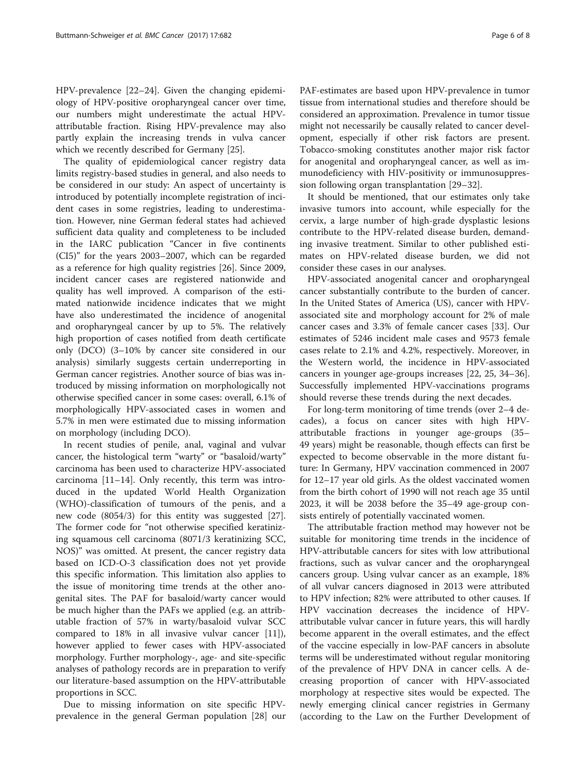HPV-prevalence [\[22](#page-7-0)–[24\]](#page-7-0). Given the changing epidemiology of HPV-positive oropharyngeal cancer over time, our numbers might underestimate the actual HPVattributable fraction. Rising HPV-prevalence may also partly explain the increasing trends in vulva cancer which we recently described for Germany [[25\]](#page-7-0).

The quality of epidemiological cancer registry data limits registry-based studies in general, and also needs to be considered in our study: An aspect of uncertainty is introduced by potentially incomplete registration of incident cases in some registries, leading to underestimation. However, nine German federal states had achieved sufficient data quality and completeness to be included in the IARC publication "Cancer in five continents (CI5)" for the years 2003–2007, which can be regarded as a reference for high quality registries [[26\]](#page-7-0). Since 2009, incident cancer cases are registered nationwide and quality has well improved. A comparison of the estimated nationwide incidence indicates that we might have also underestimated the incidence of anogenital and oropharyngeal cancer by up to 5%. The relatively high proportion of cases notified from death certificate only (DCO) (3–10% by cancer site considered in our analysis) similarly suggests certain underreporting in German cancer registries. Another source of bias was introduced by missing information on morphologically not otherwise specified cancer in some cases: overall, 6.1% of morphologically HPV-associated cases in women and 5.7% in men were estimated due to missing information on morphology (including DCO).

In recent studies of penile, anal, vaginal and vulvar cancer, the histological term "warty" or "basaloid/warty" carcinoma has been used to characterize HPV-associated carcinoma [[11](#page-6-0)–[14](#page-6-0)]. Only recently, this term was introduced in the updated World Health Organization (WHO)-classification of tumours of the penis, and a new code (8054/3) for this entity was suggested [\[27](#page-7-0)]. The former code for "not otherwise specified keratinizing squamous cell carcinoma (8071/3 keratinizing SCC, NOS)" was omitted. At present, the cancer registry data based on ICD-O-3 classification does not yet provide this specific information. This limitation also applies to the issue of monitoring time trends at the other anogenital sites. The PAF for basaloid/warty cancer would be much higher than the PAFs we applied (e.g. an attributable fraction of 57% in warty/basaloid vulvar SCC compared to 18% in all invasive vulvar cancer [\[11](#page-6-0)]), however applied to fewer cases with HPV-associated morphology. Further morphology-, age- and site-specific analyses of pathology records are in preparation to verify our literature-based assumption on the HPV-attributable proportions in SCC.

Due to missing information on site specific HPVprevalence in the general German population [[28\]](#page-7-0) our PAF-estimates are based upon HPV-prevalence in tumor tissue from international studies and therefore should be considered an approximation. Prevalence in tumor tissue might not necessarily be causally related to cancer development, especially if other risk factors are present. Tobacco-smoking constitutes another major risk factor for anogenital and oropharyngeal cancer, as well as immunodeficiency with HIV-positivity or immunosuppres-

It should be mentioned, that our estimates only take invasive tumors into account, while especially for the cervix, a large number of high-grade dysplastic lesions contribute to the HPV-related disease burden, demanding invasive treatment. Similar to other published estimates on HPV-related disease burden, we did not consider these cases in our analyses.

sion following organ transplantation [\[29](#page-7-0)–[32\]](#page-7-0).

HPV-associated anogenital cancer and oropharyngeal cancer substantially contribute to the burden of cancer. In the United States of America (US), cancer with HPVassociated site and morphology account for 2% of male cancer cases and 3.3% of female cancer cases [[33\]](#page-7-0). Our estimates of 5246 incident male cases and 9573 female cases relate to 2.1% and 4.2%, respectively. Moreover, in the Western world, the incidence in HPV-associated cancers in younger age-groups increases [\[22](#page-7-0), [25](#page-7-0), [34](#page-7-0)–[36](#page-7-0)]. Successfully implemented HPV-vaccinations programs should reverse these trends during the next decades.

For long-term monitoring of time trends (over 2–4 decades), a focus on cancer sites with high HPVattributable fractions in younger age-groups (35– 49 years) might be reasonable, though effects can first be expected to become observable in the more distant future: In Germany, HPV vaccination commenced in 2007 for 12–17 year old girls. As the oldest vaccinated women from the birth cohort of 1990 will not reach age 35 until 2023, it will be 2038 before the 35–49 age-group consists entirely of potentially vaccinated women.

The attributable fraction method may however not be suitable for monitoring time trends in the incidence of HPV-attributable cancers for sites with low attributional fractions, such as vulvar cancer and the oropharyngeal cancers group. Using vulvar cancer as an example, 18% of all vulvar cancers diagnosed in 2013 were attributed to HPV infection; 82% were attributed to other causes. If HPV vaccination decreases the incidence of HPVattributable vulvar cancer in future years, this will hardly become apparent in the overall estimates, and the effect of the vaccine especially in low-PAF cancers in absolute terms will be underestimated without regular monitoring of the prevalence of HPV DNA in cancer cells. A decreasing proportion of cancer with HPV-associated morphology at respective sites would be expected. The newly emerging clinical cancer registries in Germany (according to the Law on the Further Development of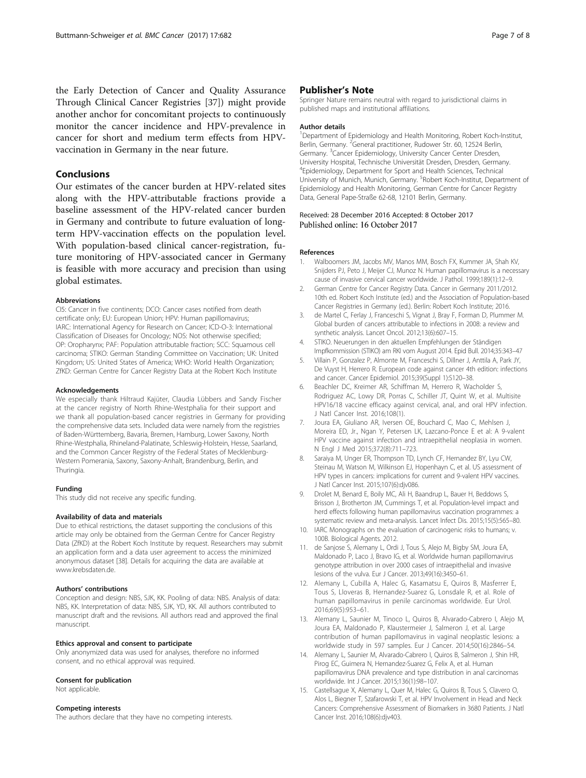<span id="page-6-0"></span>the Early Detection of Cancer and Quality Assurance Through Clinical Cancer Registries [\[37](#page-7-0)]) might provide another anchor for concomitant projects to continuously monitor the cancer incidence and HPV-prevalence in cancer for short and medium term effects from HPVvaccination in Germany in the near future.

## Conclusions

Our estimates of the cancer burden at HPV-related sites along with the HPV-attributable fractions provide a baseline assessment of the HPV-related cancer burden in Germany and contribute to future evaluation of longterm HPV-vaccination effects on the population level. With population-based clinical cancer-registration, future monitoring of HPV-associated cancer in Germany is feasible with more accuracy and precision than using global estimates.

#### Abbreviations

CI5: Cancer in five continents; DCO: Cancer cases notified from death certificate only; EU: European Union; HPV: Human papillomavirus; IARC: International Agency for Research on Cancer; ICD-O-3: International Classification of Diseases for Oncology; NOS: Not otherwise specified; OP: Oropharynx; PAF: Population attributable fraction; SCC: Squamous cell carcinoma; STIKO: German Standing Committee on Vaccination; UK: United Kingdom; US: United States of America; WHO: World Health Organization; ZfKD: German Centre for Cancer Registry Data at the Robert Koch Institute

#### Acknowledgements

We especially thank Hiltraud Kajüter, Claudia Lübbers and Sandy Fischer at the cancer registry of North Rhine-Westphalia for their support and we thank all population-based cancer registries in Germany for providing the comprehensive data sets. Included data were namely from the registries of Baden-Württemberg, Bavaria, Bremen, Hamburg, Lower Saxony, North Rhine-Westphalia, Rhineland-Palatinate, Schleswig-Holstein, Hesse, Saarland, and the Common Cancer Registry of the Federal States of Mecklenburg-Western Pomerania, Saxony, Saxony-Anhalt, Brandenburg, Berlin, and Thuringia.

#### Funding

This study did not receive any specific funding.

#### Availability of data and materials

Due to ethical restrictions, the dataset supporting the conclusions of this article may only be obtained from the German Centre for Cancer Registry Data (ZfKD) at the Robert Koch Institute by request. Researchers may submit an application form and a data user agreement to access the minimized anonymous dataset [\[38](#page-7-0)]. Details for acquiring the data are available at [www.krebsdaten.de](http://www.krebsdaten.de).

#### Authors' contributions

Conception and design: NBS, SJK, KK. Pooling of data: NBS. Analysis of data: NBS, KK. Interpretation of data: NBS, SJK, YD, KK. All authors contributed to manuscript draft and the revisions. All authors read and approved the final manuscript.

#### Ethics approval and consent to participate

Only anonymized data was used for analyses, therefore no informed consent, and no ethical approval was required.

#### Consent for publication

Not applicable.

#### Competing interests

The authors declare that they have no competing interests.

#### Publisher's Note

Springer Nature remains neutral with regard to jurisdictional claims in published maps and institutional affiliations.

#### Author details

<sup>1</sup>Department of Epidemiology and Health Monitoring, Robert Koch-Institut Berlin, Germany. <sup>2</sup>General practitioner, Rudower Str. 60, 12524 Berlin, Germany. <sup>3</sup> Cancer Epidemiology, University Cancer Center Dresden University Hospital, Technische Universität Dresden, Dresden, Germany. 4 Epidemiology, Department for Sport and Health Sciences, Technical University of Munich, Munich, Germany. <sup>5</sup>Robert Koch-Institut, Department of Epidemiology and Health Monitoring, German Centre for Cancer Registry Data, General Pape-Straße 62-68, 12101 Berlin, Germany.

#### Received: 28 December 2016 Accepted: 8 October 2017 Published online: 16 October 2017

#### References

- 1. Walboomers JM, Jacobs MV, Manos MM, Bosch FX, Kummer JA, Shah KV, Snijders PJ, Peto J, Meijer CJ, Munoz N. Human papillomavirus is a necessary cause of invasive cervical cancer worldwide. J Pathol. 1999;189(1):12–9.
- 2. German Centre for Cancer Registry Data. Cancer in Germany 2011/2012. 10th ed. Robert Koch Institute (ed.) and the Association of Population-based Cancer Registries in Germany (ed.). Berlin: Robert Koch Institute; 2016.
- 3. de Martel C, Ferlay J, Franceschi S, Vignat J, Bray F, Forman D, Plummer M. Global burden of cancers attributable to infections in 2008: a review and synthetic analysis. Lancet Oncol. 2012;13(6):607–15.
- STIKO. Neuerungen in den aktuellen Empfehlungen der Ständigen Impfkommission (STIKO) am RKI vom August 2014. Epid Bull. 2014;35:343–47
- 5. Villain P, Gonzalez P, Almonte M, Franceschi S, Dillner J, Anttila A, Park JY, De Vuyst H, Herrero R. European code against cancer 4th edition: infections and cancer. Cancer Epidemiol. 2015;39(Suppl 1):S120–38.
- 6. Beachler DC, Kreimer AR, Schiffman M, Herrero R, Wacholder S, Rodriguez AC, Lowy DR, Porras C, Schiller JT, Quint W, et al. Multisite HPV16/18 vaccine efficacy against cervical, anal, and oral HPV infection. J Natl Cancer Inst. 2016;108(1).
- 7. Joura EA, Giuliano AR, Iversen OE, Bouchard C, Mao C, Mehlsen J, Moreira ED, Jr., Ngan Y, Petersen LK, Lazcano-Ponce E et al: A 9-valent HPV vaccine against infection and intraepithelial neoplasia in women. N Engl J Med 2015;372(8):711–723.
- 8. Saraiya M, Unger ER, Thompson TD, Lynch CF, Hernandez BY, Lyu CW, Steinau M, Watson M, Wilkinson EJ, Hopenhayn C, et al. US assessment of HPV types in cancers: implications for current and 9-valent HPV vaccines. J Natl Cancer Inst. 2015;107(6):djv086.
- 9. Drolet M, Benard E, Boily MC, Ali H, Baandrup L, Bauer H, Beddows S, Brisson J, Brotherton JM, Cummings T, et al. Population-level impact and herd effects following human papillomavirus vaccination programmes: a systematic review and meta-analysis. Lancet Infect Dis. 2015;15(5):565–80.
- 10. IARC Monographs on the evaluation of carcinogenic risks to humans; v. 100B. Biological Agents. 2012.
- 11. de Sanjose S, Alemany L, Ordi J, Tous S, Alejo M, Bigby SM, Joura EA, Maldonado P, Laco J, Bravo IG, et al. Worldwide human papillomavirus genotype attribution in over 2000 cases of intraepithelial and invasive lesions of the vulva. Eur J Cancer. 2013;49(16):3450–61.
- 12. Alemany L, Cubilla A, Halec G, Kasamatsu E, Quiros B, Masferrer E, Tous S, Lloveras B, Hernandez-Suarez G, Lonsdale R, et al. Role of human papillomavirus in penile carcinomas worldwide. Eur Urol. 2016;69(5):953–61.
- 13. Alemany L, Saunier M, Tinoco L, Quiros B, Alvarado-Cabrero I, Alejo M, Joura EA, Maldonado P, Klaustermeier J, Salmeron J, et al. Large contribution of human papillomavirus in vaginal neoplastic lesions: a worldwide study in 597 samples. Eur J Cancer. 2014;50(16):2846–54.
- 14. Alemany L, Saunier M, Alvarado-Cabrero I, Quiros B, Salmeron J, Shin HR, Pirog EC, Guimera N, Hernandez-Suarez G, Felix A, et al. Human papillomavirus DNA prevalence and type distribution in anal carcinomas worldwide. Int J Cancer. 2015;136(1):98–107.
- 15. Castellsague X, Alemany L, Quer M, Halec G, Quiros B, Tous S, Clavero O, Alos L, Biegner T, Szafarowski T, et al. HPV Involvement in Head and Neck Cancers: Comprehensive Assessment of Biomarkers in 3680 Patients. J Natl Cancer Inst. 2016;108(6):djv403.